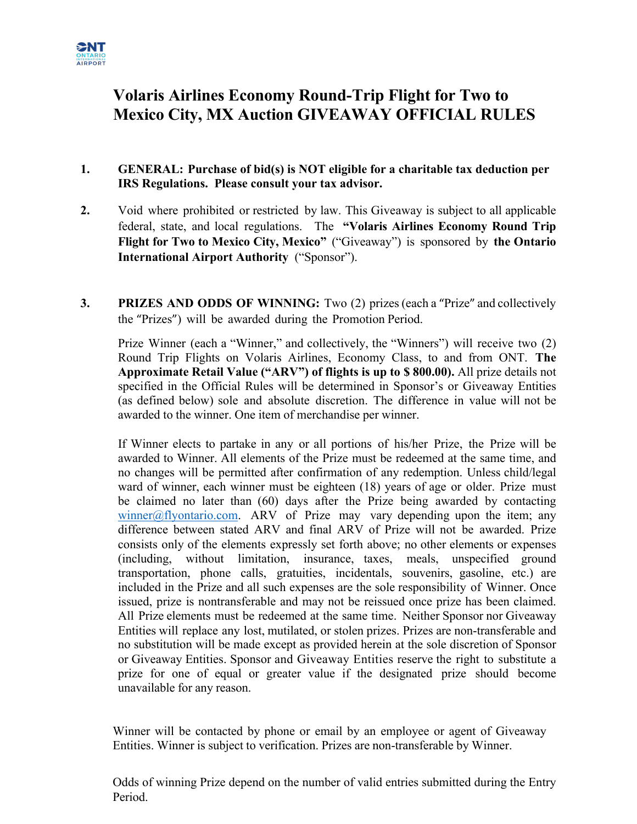

# **Volaris Airlines Economy Round-Trip Flight for Two to Mexico City, MX Auction GIVEAWAY OFFICIAL RULES**

## **1. GENERAL: Purchase of bid(s) is NOT eligible for a charitable tax deduction per IRS Regulations. Please consult your tax advisor.**

- **2.** Void where prohibited or restricted by law. This Giveaway is subject to all applicable federal, state, and local regulations. The **"Volaris Airlines Economy Round Trip Flight for Two to Mexico City, Mexico"** ("Giveaway") is sponsored by **the Ontario International Airport Authority** ("Sponsor").
- **3. PRIZES AND ODDS OF WINNING:** Two (2) prizes (each a "Prize" and collectively the "Prizes") will be awarded during the Promotion Period.

Prize Winner (each a "Winner," and collectively, the "Winners") will receive two (2) Round Trip Flights on Volaris Airlines, Economy Class, to and from ONT. **The Approximate Retail Value ("ARV") of flights is up to \$ 800.00).** All prize details not specified in the Official Rules will be determined in Sponsor's or Giveaway Entities (as defined below) sole and absolute discretion. The difference in value will not be awarded to the winner. One item of merchandise per winner.

If Winner elects to partake in any or all portions of his/her Prize, the Prize will be awarded to Winner. All elements of the Prize must be redeemed at the same time, and no changes will be permitted after confirmation of any redemption. Unless child/legal ward of winner, each winner must be eighteen (18) years of age or older. Prize must be claimed no later than (60) days after the Prize being awarded by contacting winner@flyontario.com. ARV of Prize may vary depending upon the item; any difference between stated ARV and final ARV of Prize will not be awarded. Prize consists only of the elements expressly set forth above; no other elements or expenses (including, without limitation, insurance, taxes, meals, unspecified ground transportation, phone calls, gratuities, incidentals, souvenirs, gasoline, etc.) are included in the Prize and all such expenses are the sole responsibility of Winner. Once issued, prize is nontransferable and may not be reissued once prize has been claimed. All Prize elements must be redeemed at the same time. Neither Sponsor nor Giveaway Entities will replace any lost, mutilated, or stolen prizes. Prizes are non-transferable and no substitution will be made except as provided herein at the sole discretion of Sponsor or Giveaway Entities. Sponsor and Giveaway Entities reserve the right to substitute a prize for one of equal or greater value if the designated prize should become unavailable for any reason.

Winner will be contacted by phone or email by an employee or agent of Giveaway Entities. Winner is subject to verification. Prizes are non-transferable by Winner.

Odds of winning Prize depend on the number of valid entries submitted during the Entry Period.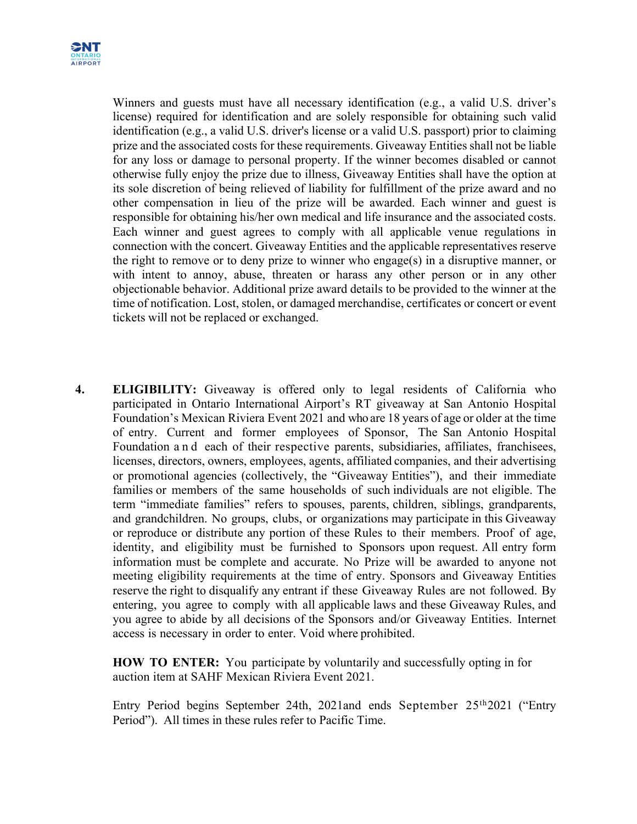

Winners and guests must have all necessary identification (e.g., a valid U.S. driver's license) required for identification and are solely responsible for obtaining such valid identification (e.g., a valid U.S. driver's license or a valid U.S. passport) prior to claiming prize and the associated costs for these requirements. Giveaway Entities shall not be liable for any loss or damage to personal property. If the winner becomes disabled or cannot otherwise fully enjoy the prize due to illness, Giveaway Entities shall have the option at its sole discretion of being relieved of liability for fulfillment of the prize award and no other compensation in lieu of the prize will be awarded. Each winner and guest is responsible for obtaining his/her own medical and life insurance and the associated costs. Each winner and guest agrees to comply with all applicable venue regulations in connection with the concert. Giveaway Entities and the applicable representatives reserve the right to remove or to deny prize to winner who engage(s) in a disruptive manner, or with intent to annoy, abuse, threaten or harass any other person or in any other objectionable behavior. Additional prize award details to be provided to the winner at the time of notification. Lost, stolen, or damaged merchandise, certificates or concert or event tickets will not be replaced or exchanged.

**4. ELIGIBILITY:** Giveaway is offered only to legal residents of California who participated in Ontario International Airport's RT giveaway at San Antonio Hospital Foundation's Mexican Riviera Event 2021 and who are 18 years of age or older at the time of entry. Current and former employees of Sponsor, The San Antonio Hospital Foundation and each of their respective parents, subsidiaries, affiliates, franchisees, licenses, directors, owners, employees, agents, affiliated companies, and their advertising or promotional agencies (collectively, the "Giveaway Entities"), and their immediate families or members of the same households of such individuals are not eligible. The term "immediate families" refers to spouses, parents, children, siblings, grandparents, and grandchildren. No groups, clubs, or organizations may participate in this Giveaway or reproduce or distribute any portion of these Rules to their members. Proof of age, identity, and eligibility must be furnished to Sponsors upon request. All entry form information must be complete and accurate. No Prize will be awarded to anyone not meeting eligibility requirements at the time of entry. Sponsors and Giveaway Entities reserve the right to disqualify any entrant if these Giveaway Rules are not followed. By entering, you agree to comply with all applicable laws and these Giveaway Rules, and you agree to abide by all decisions of the Sponsors and/or Giveaway Entities. Internet access is necessary in order to enter. Void where prohibited.

**HOW TO ENTER:** You participate by voluntarily and successfully opting in for auction item at SAHF Mexican Riviera Event 2021.

Entry Period begins September 24th, 2021and ends September 25th2021 ("Entry Period"). All times in these rules refer to Pacific Time.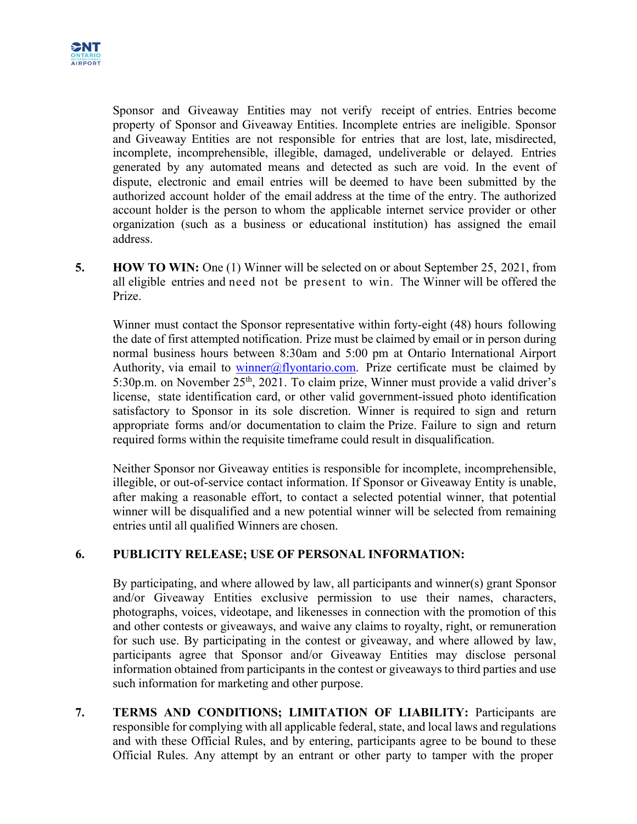

Sponsor and Giveaway Entities may not verify receipt of entries. Entries become property of Sponsor and Giveaway Entities. Incomplete entries are ineligible. Sponsor and Giveaway Entities are not responsible for entries that are lost, late, misdirected, incomplete, incomprehensible, illegible, damaged, undeliverable or delayed. Entries generated by any automated means and detected as such are void. In the event of dispute, electronic and email entries will be deemed to have been submitted by the authorized account holder of the email address at the time of the entry. The authorized account holder is the person to whom the applicable internet service provider or other organization (such as a business or educational institution) has assigned the email address.

**5. HOW TO WIN:** One (1) Winner will be selected on or about September 25, 2021, from all eligible entries and need not be present to win. The Winner will be offered the Prize.

Winner must contact the Sponsor representative within forty-eight (48) hours following the date of first attempted notification. Prize must be claimed by email or in person during normal business hours between 8:30am and 5:00 pm at Ontario International Airport Authority, via email to winner@flyontario.com. Prize certificate must be claimed by 5:30p.m. on November 25<sup>th</sup>, 2021. To claim prize, Winner must provide a valid driver's license, state identification card, or other valid government-issued photo identification satisfactory to Sponsor in its sole discretion. Winner is required to sign and return appropriate forms and/or documentation to claim the Prize. Failure to sign and return required forms within the requisite timeframe could result in disqualification.

Neither Sponsor nor Giveaway entities is responsible for incomplete, incomprehensible, illegible, or out-of-service contact information. If Sponsor or Giveaway Entity is unable, after making a reasonable effort, to contact a selected potential winner, that potential winner will be disqualified and a new potential winner will be selected from remaining entries until all qualified Winners are chosen.

#### **6. PUBLICITY RELEASE; USE OF PERSONAL INFORMATION:**

By participating, and where allowed by law, all participants and winner(s) grant Sponsor and/or Giveaway Entities exclusive permission to use their names, characters, photographs, voices, videotape, and likenesses in connection with the promotion of this and other contests or giveaways, and waive any claims to royalty, right, or remuneration for such use. By participating in the contest or giveaway, and where allowed by law, participants agree that Sponsor and/or Giveaway Entities may disclose personal information obtained from participants in the contest or giveaways to third parties and use such information for marketing and other purpose.

**7. TERMS AND CONDITIONS; LIMITATION OF LIABILITY:** Participants are responsible for complying with all applicable federal, state, and local laws and regulations and with these Official Rules, and by entering, participants agree to be bound to these Official Rules. Any attempt by an entrant or other party to tamper with the proper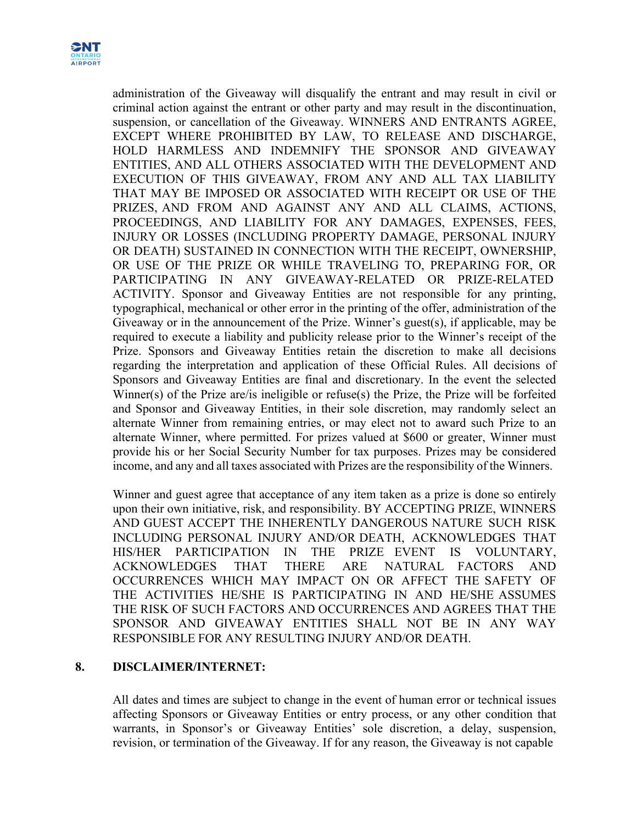

administration of the Giveaway will disqualify the entrant and may result in civil or criminal action against the entrant or other party and may result in the discontinuation, suspension, or cancellation of the Giveaway. WINNERS AND ENTRANTS AGREE, EXCEPT WHERE PROHIBITED BY LAW, TO RELEASE AND DISCHARGE, HOLD HARMLESS AND INDEMNIFY THE SPONSOR AND GIVEAWAY ENTITIES, AND ALL OTHERS ASSOCIATED WITH THE DEVELOPMENT AND EXECUTION OF THIS GIVEAWAY, FROM ANY AND ALL TAX LIABILITY THAT MAY BE IMPOSED OR ASSOCIATED WITH RECEIPT OR USE OF THE PRIZES, AND FROM AND AGAINST ANY AND ALL CLAIMS, ACTIONS, PROCEEDINGS, AND LIABILITY FOR ANY DAMAGES, EXPENSES, FEES, INJURY OR LOSSES (INCLUDING PROPERTY DAMAGE, PERSONAL INJURY OR DEATH) SUSTAINED IN CONNECTION WITH THE RECEIPT, OWNERSHIP, OR USE OF THE PRIZE OR WHILE TRAVELING TO, PREPARING FOR, OR PARTICIPATING IN ANY GIVEAWAY-RELATED OR PRIZE-RELATED ACTIVITY. Sponsor and Giveaway Entities are not responsible for any printing, typographical, mechanical or other error in the printing of the offer, administration of the Giveaway or in the announcement of the Prize. Winner's guest(s), if applicable, may be required to execute a liability and publicity release prior to the Winner's receipt of the Prize. Sponsors and Giveaway Entities retain the discretion to make all decisions regarding the interpretation and application of these Official Rules. All decisions of Sponsors and Giveaway Entities are final and discretionary. In the event the selected Winner(s) of the Prize are/is ineligible or refuse(s) the Prize, the Prize will be forfeited and Sponsor and Giveaway Entities, in their sole discretion, may randomly select an alternate Winner from remaining entries, or may elect not to award such Prize to an alternate Winner, where permitted. For prizes valued at \$600 or greater, Winner must provide his or her Social Security Number for tax purposes. Prizes may be considered income, and any and all taxes associated with Prizes are the responsibility of the Winners.

Winner and guest agree that acceptance of any item taken as a prize is done so entirely upon their own initiative, risk, and responsibility. BY ACCEPTING PRIZE, WINNERS AND GUEST ACCEPT THE INHERENTLY DANGEROUS NATURE SUCH RISK INCLUDING PERSONAL INJURY AND/OR DEATH, ACKNOWLEDGES THAT HIS/HER PARTICIPATION IN THE PRIZE EVENT IS VOLUNTARY, ACKNOWLEDGES THAT THERE ARE NATURAL FACTORS AND OCCURRENCES WHICH MAY IMPACT ON OR AFFECT THE SAFETY OF THE ACTIVITIES HE/SHE IS PARTICIPATING IN AND HE/SHE ASSUMES THE RISK OF SUCH FACTORS AND OCCURRENCES AND AGREES THAT THE SPONSOR AND GIVEAWAY ENTITIES SHALL NOT BE IN ANY WAY RESPONSIBLE FOR ANY RESULTING INJURY AND/OR DEATH.

#### **8. DISCLAIMER/INTERNET:**

All dates and times are subject to change in the event of human error or technical issues affecting Sponsors or Giveaway Entities or entry process, or any other condition that warrants, in Sponsor's or Giveaway Entities' sole discretion, a delay, suspension, revision, or termination of the Giveaway. If for any reason, the Giveaway is not capable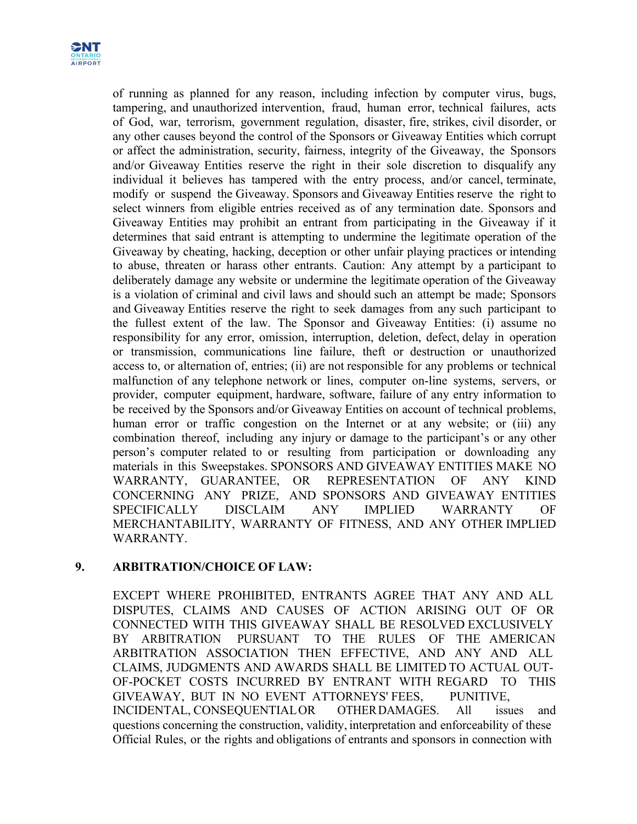

of running as planned for any reason, including infection by computer virus, bugs, tampering, and unauthorized intervention, fraud, human error, technical failures, acts of God, war, terrorism, government regulation, disaster, fire, strikes, civil disorder, or any other causes beyond the control of the Sponsors or Giveaway Entities which corrupt or affect the administration, security, fairness, integrity of the Giveaway, the Sponsors and/or Giveaway Entities reserve the right in their sole discretion to disqualify any individual it believes has tampered with the entry process, and/or cancel, terminate, modify or suspend the Giveaway. Sponsors and Giveaway Entities reserve the right to select winners from eligible entries received as of any termination date. Sponsors and Giveaway Entities may prohibit an entrant from participating in the Giveaway if it determines that said entrant is attempting to undermine the legitimate operation of the Giveaway by cheating, hacking, deception or other unfair playing practices or intending to abuse, threaten or harass other entrants. Caution: Any attempt by a participant to deliberately damage any website or undermine the legitimate operation of the Giveaway is a violation of criminal and civil laws and should such an attempt be made; Sponsors and Giveaway Entities reserve the right to seek damages from any such participant to the fullest extent of the law. The Sponsor and Giveaway Entities: (i) assume no responsibility for any error, omission, interruption, deletion, defect, delay in operation or transmission, communications line failure, theft or destruction or unauthorized access to, or alternation of, entries; (ii) are not responsible for any problems or technical malfunction of any telephone network or lines, computer on-line systems, servers, or provider, computer equipment, hardware, software, failure of any entry information to be received by the Sponsors and/or Giveaway Entities on account of technical problems, human error or traffic congestion on the Internet or at any website; or (iii) any combination thereof, including any injury or damage to the participant's or any other person's computer related to or resulting from participation or downloading any materials in this Sweepstakes. SPONSORS AND GIVEAWAY ENTITIES MAKE NO WARRANTY, GUARANTEE, OR REPRESENTATION OF ANY KIND CONCERNING ANY PRIZE, AND SPONSORS AND GIVEAWAY ENTITIES SPECIFICALLY DISCLAIM ANY IMPLIED WARRANTY OF MERCHANTABILITY, WARRANTY OF FITNESS, AND ANY OTHER IMPLIED WARRANTY.

## **9. ARBITRATION/CHOICE OF LAW:**

EXCEPT WHERE PROHIBITED, ENTRANTS AGREE THAT ANY AND ALL DISPUTES, CLAIMS AND CAUSES OF ACTION ARISING OUT OF OR CONNECTED WITH THIS GIVEAWAY SHALL BE RESOLVED EXCLUSIVELY BY ARBITRATION PURSUANT TO THE RULES OF THE AMERICAN ARBITRATION ASSOCIATION THEN EFFECTIVE, AND ANY AND ALL CLAIMS, JUDGMENTS AND AWARDS SHALL BE LIMITED TO ACTUAL OUT-OF-POCKET COSTS INCURRED BY ENTRANT WITH REGARD TO THIS GIVEAWAY, BUT IN NO EVENT ATTORNEYS' FEES, PUNITIVE, INCIDENTAL, CONSEQUENTIALOR OTHERDAMAGES. All issues and questions concerning the construction, validity, interpretation and enforceability of these Official Rules, or the rights and obligations of entrants and sponsors in connection with